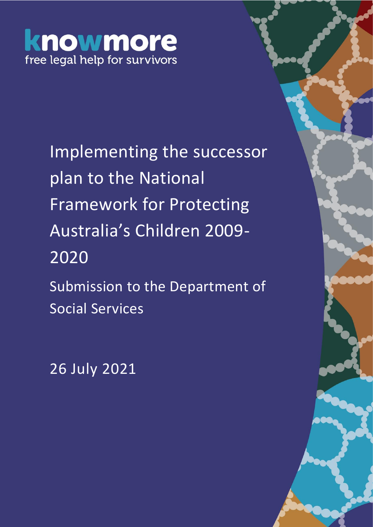# knowmore free legal help for survivors

Implementing the successor plan to the National Framework for Protecting Australia's Children 2009- 2020

Submission to the Department of Social Services

26 July 2021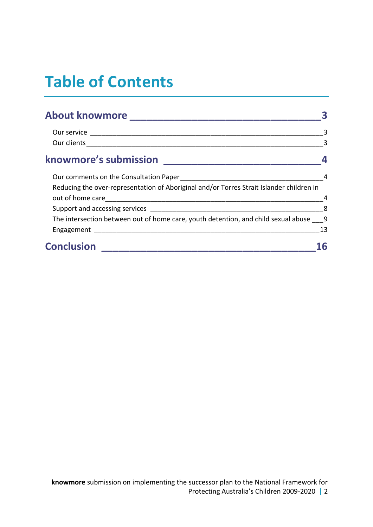# **Table of Contents**

| About knowmore New York Changes and About Knowmore                                       |                |
|------------------------------------------------------------------------------------------|----------------|
|                                                                                          |                |
|                                                                                          | $\overline{3}$ |
| knowmore's submission                                                                    |                |
|                                                                                          |                |
| Reducing the over-representation of Aboriginal and/or Torres Strait Islander children in |                |
|                                                                                          |                |
|                                                                                          | 8              |
| The intersection between out of home care, youth detention, and child sexual abuse 9     |                |
|                                                                                          | 13             |
| <b>Conclusion</b>                                                                        |                |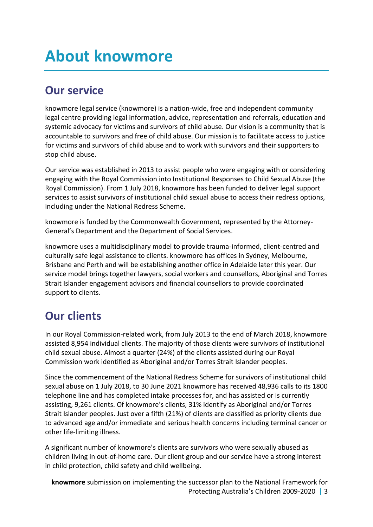## <span id="page-2-0"></span>**About knowmore**

## <span id="page-2-1"></span>**Our service**

knowmore legal service (knowmore) is a nation-wide, free and independent community legal centre providing legal information, advice, representation and referrals, education and systemic advocacy for victims and survivors of child abuse. Our vision is a community that is accountable to survivors and free of child abuse. Our mission is to facilitate access to justice for victims and survivors of child abuse and to work with survivors and their supporters to stop child abuse.

Our service was established in 2013 to assist people who were engaging with or considering engaging with the Royal Commission into Institutional Responses to Child Sexual Abuse (the Royal Commission). From 1 July 2018, knowmore has been funded to deliver legal support services to assist survivors of institutional child sexual abuse to access their redress options, including under the National Redress Scheme.

knowmore is funded by the Commonwealth Government, represented by the Attorney-General's Department and the Department of Social Services.

knowmore uses a multidisciplinary model to provide trauma-informed, client-centred and culturally safe legal assistance to clients. knowmore has offices in Sydney, Melbourne, Brisbane and Perth and will be establishing another office in Adelaide later this year. Our service model brings together lawyers, social workers and counsellors, Aboriginal and Torres Strait Islander engagement advisors and financial counsellors to provide coordinated support to clients.

## <span id="page-2-2"></span>**Our clients**

In our Royal Commission-related work, from July 2013 to the end of March 2018, knowmore assisted 8,954 individual clients. The majority of those clients were survivors of institutional child sexual abuse. Almost a quarter (24%) of the clients assisted during our Royal Commission work identified as Aboriginal and/or Torres Strait Islander peoples.

Since the commencement of the National Redress Scheme for survivors of institutional child sexual abuse on 1 July 2018, to 30 June 2021 knowmore has received 48,936 calls to its 1800 telephone line and has completed intake processes for, and has assisted or is currently assisting, 9,261 clients. Of knowmore's clients, 31% identify as Aboriginal and/or Torres Strait Islander peoples. Just over a fifth (21%) of clients are classified as priority clients due to advanced age and/or immediate and serious health concerns including terminal cancer or other life-limiting illness.

A significant number of knowmore's clients are survivors who were sexually abused as children living in out-of-home care. Our client group and our service have a strong interest in child protection, child safety and child wellbeing.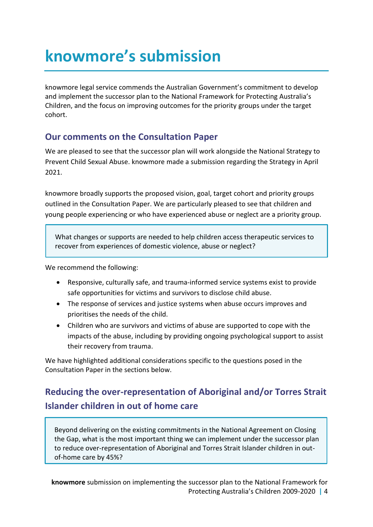# <span id="page-3-0"></span>**knowmore's submission**

knowmore legal service commends the Australian Government's commitment to develop and implement the successor plan to the National Framework for Protecting Australia's Children, and the focus on improving outcomes for the priority groups under the target cohort.

### <span id="page-3-1"></span>**Our comments on the Consultation Paper**

We are pleased to see that the successor plan will work alongside the National Strategy to Prevent Child Sexual Abuse. knowmore made a submission regarding the Strategy in April 2021.

knowmore broadly supports the proposed vision, goal, target cohort and priority groups outlined in the Consultation Paper. We are particularly pleased to see that children and young people experiencing or who have experienced abuse or neglect are a priority group.

What changes or supports are needed to help children access therapeutic services to recover from experiences of domestic violence, abuse or neglect?

We recommend the following:

- Responsive, culturally safe, and trauma-informed service systems exist to provide safe opportunities for victims and survivors to disclose child abuse.
- The response of services and justice systems when abuse occurs improves and prioritises the needs of the child.
- Children who are survivors and victims of abuse are supported to cope with the impacts of the abuse, including by providing ongoing psychological support to assist their recovery from trauma.

We have highlighted additional considerations specific to the questions posed in the Consultation Paper in the sections below.

## <span id="page-3-2"></span>**Reducing the over-representation of Aboriginal and/or Torres Strait Islander children in out of home care**

Beyond delivering on the existing commitments in the National Agreement on Closing the Gap, what is the most important thing we can implement under the successor plan to reduce over-representation of Aboriginal and Torres Strait Islander children in outof-home care by 45%?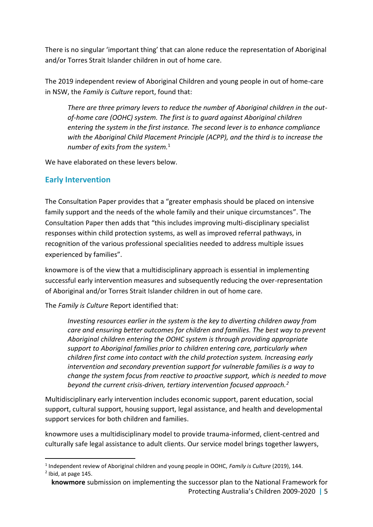There is no singular 'important thing' that can alone reduce the representation of Aboriginal and/or Torres Strait Islander children in out of home care.

The 2019 independent review of Aboriginal Children and young people in out of home-care in NSW, the *Family is Culture* report, found that:

*There are three primary levers to reduce the number of Aboriginal children in the outof-home care (OOHC) system. The first is to guard against Aboriginal children entering the system in the first instance. The second lever is to enhance compliance with the Aboriginal Child Placement Principle (ACPP), and the third is to increase the number of exits from the system.*<sup>1</sup>

We have elaborated on these levers below.

#### **Early Intervention**

The Consultation Paper provides that a "greater emphasis should be placed on intensive family support and the needs of the whole family and their unique circumstances". The Consultation Paper then adds that "this includes improving multi-disciplinary specialist responses within child protection systems, as well as improved referral pathways, in recognition of the various professional specialities needed to address multiple issues experienced by families".

knowmore is of the view that a multidisciplinary approach is essential in implementing successful early intervention measures and subsequently reducing the over-representation of Aboriginal and/or Torres Strait Islander children in out of home care.

The *Family is Culture* Report identified that:

*Investing resources earlier in the system is the key to diverting children away from care and ensuring better outcomes for children and families. The best way to prevent Aboriginal children entering the OOHC system is through providing appropriate support to Aboriginal families prior to children entering care, particularly when children first come into contact with the child protection system. Increasing early intervention and secondary prevention support for vulnerable families is a way to change the system focus from reactive to proactive support, which is needed to move beyond the current crisis-driven, tertiary intervention focused approach.<sup>2</sup>*

Multidisciplinary early intervention includes economic support, parent education, social support, cultural support, housing support, legal assistance, and health and developmental support services for both children and families.

knowmore uses a multidisciplinary model to provide trauma-informed, client-centred and culturally safe legal assistance to adult clients. Our service model brings together lawyers,

-1 Independent review of Aboriginal children and young people in OOHC, *Family is Culture* (2019), 144.  $<sup>2</sup>$  Ibid, at page 145.</sup>

**knowmore** submission on implementing the successor plan to the National Framework for Protecting Australia's Children 2009-2020 **|** 5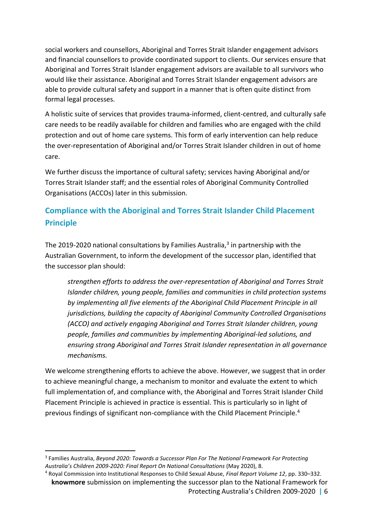social workers and counsellors, Aboriginal and Torres Strait Islander engagement advisors and financial counsellors to provide coordinated support to clients. Our services ensure that Aboriginal and Torres Strait Islander engagement advisors are available to all survivors who would like their assistance. Aboriginal and Torres Strait Islander engagement advisors are able to provide cultural safety and support in a manner that is often quite distinct from formal legal processes.

A holistic suite of services that provides trauma-informed, client-centred, and culturally safe care needs to be readily available for children and families who are engaged with the child protection and out of home care systems. This form of early intervention can help reduce the over-representation of Aboriginal and/or Torres Strait Islander children in out of home care.

We further discuss the importance of cultural safety; services having Aboriginal and/or Torres Strait Islander staff; and the essential roles of Aboriginal Community Controlled Organisations (ACCOs) later in this submission.

### **Compliance with the Aboriginal and Torres Strait Islander Child Placement Principle**

The 2019-2020 national consultations by Families Australia,<sup>3</sup> in partnership with the Australian Government, to inform the development of the successor plan, identified that the successor plan should:

*strengthen efforts to address the over-representation of Aboriginal and Torres Strait Islander children, young people, families and communities in child protection systems by implementing all five elements of the Aboriginal Child Placement Principle in all jurisdictions, building the capacity of Aboriginal Community Controlled Organisations (ACCO) and actively engaging Aboriginal and Torres Strait Islander children, young people, families and communities by implementing Aboriginal-led solutions, and ensuring strong Aboriginal and Torres Strait Islander representation in all governance mechanisms.*

We welcome strengthening efforts to achieve the above. However, we suggest that in order to achieve meaningful change, a mechanism to monitor and evaluate the extent to which full implementation of, and compliance with, the Aboriginal and Torres Strait Islander Child Placement Principle is achieved in practice is essential. This is particularly so in light of previous findings of significant non-compliance with the Child Placement Principle.<sup>4</sup>

<sup>3</sup> Families Australia, *Beyond 2020: Towards a Successor Plan For The National Framework For Protecting Australia's Children 2009-2020: Final Report On National Consultations* (May 2020), 8.

**knowmore** submission on implementing the successor plan to the National Framework for Protecting Australia's Children 2009-2020 **|** 6 <sup>4</sup> Royal Commission into Institutional Responses to Child Sexual Abuse, *Final Report Volume 12*, pp. 330–332.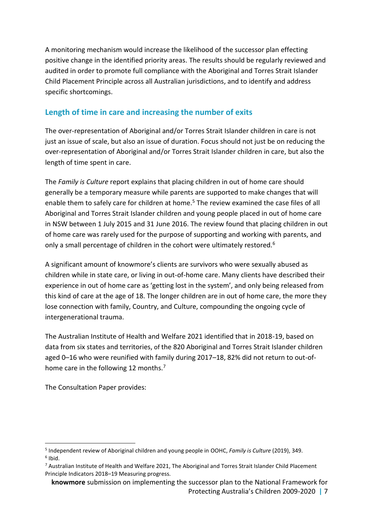A monitoring mechanism would increase the likelihood of the successor plan effecting positive change in the identified priority areas. The results should be regularly reviewed and audited in order to promote full compliance with the Aboriginal and Torres Strait Islander Child Placement Principle across all Australian jurisdictions, and to identify and address specific shortcomings.

#### **Length of time in care and increasing the number of exits**

The over-representation of Aboriginal and/or Torres Strait Islander children in care is not just an issue of scale, but also an issue of duration. Focus should not just be on reducing the over-representation of Aboriginal and/or Torres Strait Islander children in care, but also the length of time spent in care.

The *Family is Culture* report explains that placing children in out of home care should generally be a temporary measure while parents are supported to make changes that will enable them to safely care for children at home.<sup>5</sup> The review examined the case files of all Aboriginal and Torres Strait Islander children and young people placed in out of home care in NSW between 1 July 2015 and 31 June 2016. The review found that placing children in out of home care was rarely used for the purpose of supporting and working with parents, and only a small percentage of children in the cohort were ultimately restored.<sup>6</sup>

A significant amount of knowmore's clients are survivors who were sexually abused as children while in state care, or living in out-of-home care. Many clients have described their experience in out of home care as 'getting lost in the system', and only being released from this kind of care at the age of 18. The longer children are in out of home care, the more they lose connection with family, Country, and Culture, compounding the ongoing cycle of intergenerational trauma.

The Australian Institute of Health and Welfare 2021 identified that in 2018-19, based on data from six states and territories, of the 820 Aboriginal and Torres Strait Islander children aged 0–16 who were reunified with family during 2017–18, 82% did not return to out-ofhome care in the following 12 months.<sup>7</sup>

The Consultation Paper provides:

<sup>5</sup> Independent review of Aboriginal children and young people in OOHC, *Family is Culture* (2019), 349.  $6$  Ibid.

 $7$  Australian Institute of Health and Welfare 2021, The Aboriginal and Torres Strait Islander Child Placement Principle Indicators 2018–19 Measuring progress.

**knowmore** submission on implementing the successor plan to the National Framework for Protecting Australia's Children 2009-2020 **|** 7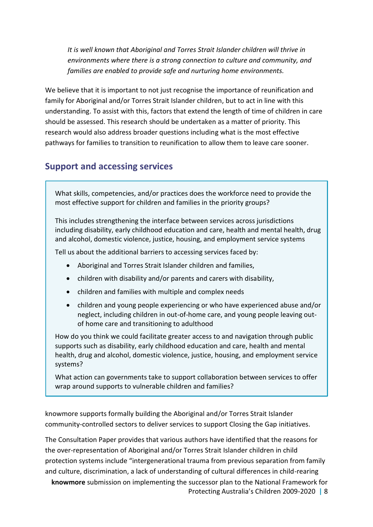*It is well known that Aboriginal and Torres Strait Islander children will thrive in environments where there is a strong connection to culture and community, and families are enabled to provide safe and nurturing home environments.*

We believe that it is important to not just recognise the importance of reunification and family for Aboriginal and/or Torres Strait Islander children, but to act in line with this understanding. To assist with this, factors that extend the length of time of children in care should be assessed. This research should be undertaken as a matter of priority. This research would also address broader questions including what is the most effective pathways for families to transition to reunification to allow them to leave care sooner.

### <span id="page-7-0"></span>**Support and accessing services**

What skills, competencies, and/or practices does the workforce need to provide the most effective support for children and families in the priority groups?

This includes strengthening the interface between services across jurisdictions including disability, early childhood education and care, health and mental health, drug and alcohol, domestic violence, justice, housing, and employment service systems

Tell us about the additional barriers to accessing services faced by:

- Aboriginal and Torres Strait Islander children and families,
- children with disability and/or parents and carers with disability,
- children and families with multiple and complex needs
- children and young people experiencing or who have experienced abuse and/or neglect, including children in out-of-home care, and young people leaving outof home care and transitioning to adulthood

How do you think we could facilitate greater access to and navigation through public supports such as disability, early childhood education and care, health and mental health, drug and alcohol, domestic violence, justice, housing, and employment service systems?

What action can governments take to support collaboration between services to offer wrap around supports to vulnerable children and families?

knowmore supports formally building the Aboriginal and/or Torres Strait Islander community-controlled sectors to deliver services to support Closing the Gap initiatives.

The Consultation Paper provides that various authors have identified that the reasons for the over-representation of Aboriginal and/or Torres Strait Islander children in child protection systems include "intergenerational trauma from previous separation from family and culture, discrimination, a lack of understanding of cultural differences in child-rearing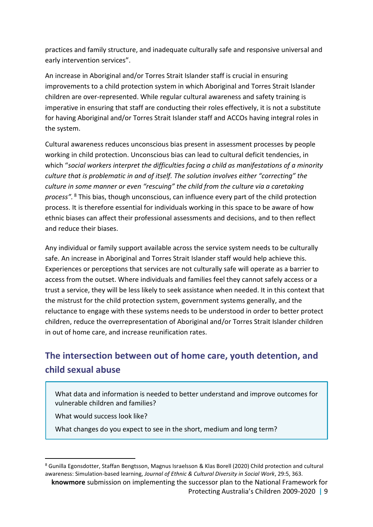practices and family structure, and inadequate culturally safe and responsive universal and early intervention services".

An increase in Aboriginal and/or Torres Strait Islander staff is crucial in ensuring improvements to a child protection system in which Aboriginal and Torres Strait Islander children are over-represented. While regular cultural awareness and safety training is imperative in ensuring that staff are conducting their roles effectively, it is not a substitute for having Aboriginal and/or Torres Strait Islander staff and ACCOs having integral roles in the system.

Cultural awareness reduces unconscious bias present in assessment processes by people working in child protection. Unconscious bias can lead to cultural deficit tendencies, in which "*social workers interpret the difficulties facing a child as manifestations of a minority culture that is problematic in and of itself. The solution involves either "correcting" the culture in some manner or even "rescuing" the child from the culture via a caretaking process".* <sup>8</sup> This bias, though unconscious, can influence every part of the child protection process. It is therefore essential for individuals working in this space to be aware of how ethnic biases can affect their professional assessments and decisions, and to then reflect and reduce their biases.

Any individual or family support available across the service system needs to be culturally safe. An increase in Aboriginal and Torres Strait Islander staff would help achieve this. Experiences or perceptions that services are not culturally safe will operate as a barrier to access from the outset. Where individuals and families feel they cannot safely access or a trust a service, they will be less likely to seek assistance when needed. It in this context that the mistrust for the child protection system, government systems generally, and the reluctance to engage with these systems needs to be understood in order to better protect children, reduce the overrepresentation of Aboriginal and/or Torres Strait Islander children in out of home care, and increase reunification rates.

### <span id="page-8-0"></span>**The intersection between out of home care, youth detention, and child sexual abuse**

What data and information is needed to better understand and improve outcomes for vulnerable children and families?

What would success look like?

-

What changes do you expect to see in the short, medium and long term?

<sup>8</sup> Gunilla Egonsdotter, Staffan Bengtsson, Magnus Israelsson & Klas Borell (2020) Child protection and cultural awareness: Simulation-based learning, *Journal of Ethnic & Cultural Diversity in Social Work*, 29:5, 363.

**knowmore** submission on implementing the successor plan to the National Framework for Protecting Australia's Children 2009-2020 **|** 9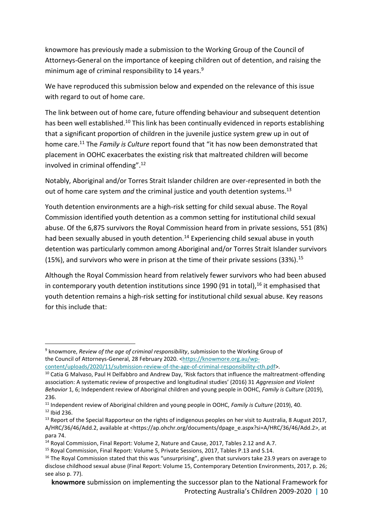knowmore has previously made a submission to the Working Group of the Council of Attorneys-General on the importance of keeping children out of detention, and raising the minimum age of criminal responsibility to 14 years.<sup>9</sup>

We have reproduced this submission below and expended on the relevance of this issue with regard to out of home care.

The link between out of home care, future offending behaviour and subsequent detention has been well established.<sup>10</sup> This link has been continually evidenced in reports establishing that a significant proportion of children in the juvenile justice system grew up in out of home care.<sup>11</sup> The *Family is Culture* report found that "it has now been demonstrated that placement in OOHC exacerbates the existing risk that maltreated children will become involved in criminal offending". 12

Notably, Aboriginal and/or Torres Strait Islander children are over-represented in both the out of home care system *and* the criminal justice and youth detention systems. 13

Youth detention environments are a high-risk setting for child sexual abuse. The Royal Commission identified youth detention as a common setting for institutional child sexual abuse. Of the 6,875 survivors the Royal Commission heard from in private sessions, 551 (8%) had been sexually abused in youth detention.<sup>14</sup> Experiencing child sexual abuse in youth detention was particularly common among Aboriginal and/or Torres Strait Islander survivors (15%), and survivors who were in prison at the time of their private sessions (33%).<sup>15</sup>

Although the Royal Commission heard from relatively fewer survivors who had been abused in contemporary youth detention institutions since 1990 (91 in total),  $^{16}$  it emphasised that youth detention remains a high-risk setting for institutional child sexual abuse. Key reasons for this include that:

<sup>9</sup> knowmore, *Review of the age of criminal responsibility*, submission to the Working Group of the Council of Attorneys-General, 28 February 2020. [<https://knowmore.org.au/wp](https://knowmore.org.au/wp-content/uploads/2020/11/submission-review-of-the-age-of-criminal-responsibility-cth.pdf)[content/uploads/2020/11/submission-review-of-the-age-of-criminal-responsibility-cth.pdf>](https://knowmore.org.au/wp-content/uploads/2020/11/submission-review-of-the-age-of-criminal-responsibility-cth.pdf).

<sup>&</sup>lt;sup>10</sup> Catia G Malvaso, Paul H Delfabbro and Andrew Day, 'Risk factors that influence the maltreatment-offending association: A systematic review of prospective and longitudinal studies' (2016) 31 *Aggression and Violent Behavior* 1, 6; Independent review of Aboriginal children and young people in OOHC, *Family is Culture* (2019), 236.

<sup>11</sup> Independent review of Aboriginal children and young people in OOHC, *Family is Culture* (2019), 40. <sup>12</sup> Ibid 236.

 $13$  Report of the Special Rapporteur on the rights of indigenous peoples on her visit to Australia, 8 August 2017, A/HRC/36/46/Add.2, available at <https://ap.ohchr.org/documents/dpage\_e.aspx?si=A/HRC/36/46/Add.2>, at para 74.

<sup>14</sup> Royal Commission, Final Report: Volume 2, Nature and Cause, 2017, Tables 2.12 and A.7.

<sup>15</sup> Royal Commission, Final Report: Volume 5, Private Sessions, 2017, Tables P.13 and S.14.

<sup>&</sup>lt;sup>16</sup> The Royal Commission stated that this was "unsurprising", given that survivors take 23.9 years on average to disclose childhood sexual abuse (Final Report: Volume 15, Contemporary Detention Environments, 2017, p. 26; see also p. 77).

**knowmore** submission on implementing the successor plan to the National Framework for Protecting Australia's Children 2009-2020 **|** 10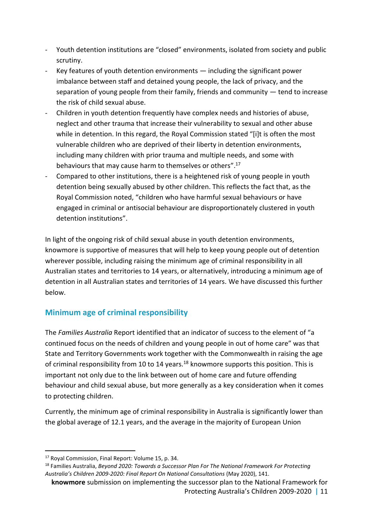- Youth detention institutions are "closed" environments, isolated from society and public scrutiny.
- Key features of youth detention environments including the significant power imbalance between staff and detained young people, the lack of privacy, and the separation of young people from their family, friends and community — tend to increase the risk of child sexual abuse.
- Children in youth detention frequently have complex needs and histories of abuse, neglect and other trauma that increase their vulnerability to sexual and other abuse while in detention. In this regard, the Royal Commission stated "[i]t is often the most vulnerable children who are deprived of their liberty in detention environments, including many children with prior trauma and multiple needs, and some with behaviours that may cause harm to themselves or others".<sup>17</sup>
- Compared to other institutions, there is a heightened risk of young people in youth detention being sexually abused by other children. This reflects the fact that, as the Royal Commission noted, "children who have harmful sexual behaviours or have engaged in criminal or antisocial behaviour are disproportionately clustered in youth detention institutions".

In light of the ongoing risk of child sexual abuse in youth detention environments, knowmore is supportive of measures that will help to keep young people out of detention wherever possible, including raising the minimum age of criminal responsibility in all Australian states and territories to 14 years, or alternatively, introducing a minimum age of detention in all Australian states and territories of 14 years. We have discussed this further below.

### **Minimum age of criminal responsibility**

The *Families Australia* Report identified that an indicator of success to the element of "a continued focus on the needs of children and young people in out of home care" was that State and Territory Governments work together with the Commonwealth in raising the age of criminal responsibility from 10 to 14 years.<sup>18</sup> knowmore supports this position. This is important not only due to the link between out of home care and future offending behaviour and child sexual abuse, but more generally as a key consideration when it comes to protecting children.

Currently, the minimum age of criminal responsibility in Australia is significantly lower than the global average of 12.1 years, and the average in the majority of European Union

<sup>17</sup> Royal Commission, Final Report: Volume 15, p. 34.

<sup>18</sup> Families Australia, *Beyond 2020: Towards a Successor Plan For The National Framework For Protecting Australia's Children 2009-2020: Final Report On National Consultations* (May 2020), 141.

**knowmore** submission on implementing the successor plan to the National Framework for Protecting Australia's Children 2009-2020 **|** 11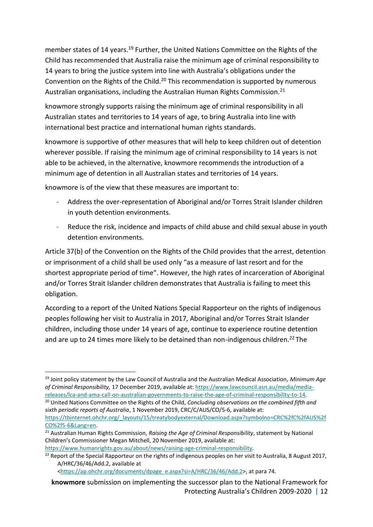member states of 14 years.<sup>19</sup> Further, the United Nations Committee on the Rights of the Child has recommended that Australia raise the minimum age of criminal responsibility to 14 years to bring the justice system into line with Australia's obligations under the Convention on the Rights of the Child.<sup>20</sup> This recommendation is supported by numerous Australian organisations, including the Australian Human Rights Commission.<sup>21</sup>

knowmore strongly supports raising the minimum age of criminal responsibility in all Australian states and territories to 14 years of age, to bring Australia into line with international best practice and international human rights standards.

knowmore is supportive of other measures that will help to keep children out of detention wherever possible. If raising the minimum age of criminal responsibility to 14 years is not able to be achieved, in the alternative, knowmore recommends the introduction of a minimum age of detention in all Australian states and territories of 14 years.

knowmore is of the view that these measures are important to:

- Address the over-representation of Aboriginal and/or Torres Strait Islander children in youth detention environments.
- Reduce the risk, incidence and impacts of child abuse and child sexual abuse in youth detention environments.

Article 37(b) of the Convention on the Rights of the Child provides that the arrest, detention or imprisonment of a child shall be used only "as a measure of last resort and for the shortest appropriate period of time". However, the high rates of incarceration of Aboriginal and/or Torres Strait Islander children demonstrates that Australia is failing to meet this obligation.

According to a report of the United Nations Special Rapporteur on the rights of indigenous peoples following her visit to Australia in 2017, Aboriginal and/or Torres Strait Islander children, including those under 14 years of age, continue to experience routine detention and are up to 24 times more likely to be detained than non-indigenous children.<sup>22</sup> The

<sup>20</sup> United Nations Committee on the Rights of the Child, *Concluding observations on the combined fifth and sixth periodic reports of Australia*, 1 November 2019, CRC/C/AUS/CO/5-6, available at:

<sup>21</sup> Australian Human Rights Commission, *Raising the Age of Criminal Responsibility*, statement by National Children's Commissioner Megan Mitchell, 20 November 2019, available at:

[https://www.humanrights.gov.au/about/news/raising-age-criminal-responsibility.](https://www.humanrights.gov.au/about/news/raising-age-criminal-responsibility)

-

[<https://ap.ohchr.org/documents/dpage\\_e.aspx?si=A/HRC/36/46/Add.2>](https://ap.ohchr.org/documents/dpage_e.aspx?si=A/HRC/36/46/Add.2), at para 74.

<sup>19</sup> Joint policy statement by the Law Council of Australia and the Australian Medical Association, *Minimum Age of Criminal Responsibility,* 17 December 2019, available at: [https://www.lawcouncil.asn.au/media/media](https://www.lawcouncil.asn.au/media/media-releases/lca-and-ama-call-on-australian-governments-to-raise-the-age-of-criminal-responsibility-to-14)[releases/lca-and-ama-call-on-australian-governments-to-raise-the-age-of-criminal-responsibility-to-14.](https://www.lawcouncil.asn.au/media/media-releases/lca-and-ama-call-on-australian-governments-to-raise-the-age-of-criminal-responsibility-to-14)

[https://tbinternet.ohchr.org/\\_layouts/15/treatybodyexternal/Download.aspx?symbolno=CRC%2fC%2fAUS%2f](https://tbinternet.ohchr.org/_layouts/15/treatybodyexternal/Download.aspx?symbolno=CRC%2fC%2fAUS%2fCO%2f5-6&Lang=en) [CO%2f5-6&Lang=en.](https://tbinternet.ohchr.org/_layouts/15/treatybodyexternal/Download.aspx?symbolno=CRC%2fC%2fAUS%2fCO%2f5-6&Lang=en)

 $^{22}$  Report of the Special Rapporteur on the rights of indigenous peoples on her visit to Australia, 8 August 2017, A/HRC/36/46/Add.2, available at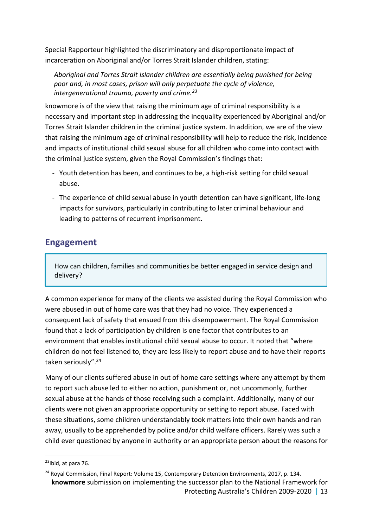Special Rapporteur highlighted the discriminatory and disproportionate impact of incarceration on Aboriginal and/or Torres Strait Islander children, stating:

*Aboriginal and Torres Strait Islander children are essentially being punished for being poor and, in most cases, prison will only perpetuate the cycle of violence, intergenerational trauma, poverty and crime.<sup>23</sup>*

knowmore is of the view that raising the minimum age of criminal responsibility is a necessary and important step in addressing the inequality experienced by Aboriginal and/or Torres Strait Islander children in the criminal justice system. In addition, we are of the view that raising the minimum age of criminal responsibility will help to reduce the risk, incidence and impacts of institutional child sexual abuse for all children who come into contact with the criminal justice system, given the Royal Commission's findings that:

- Youth detention has been, and continues to be, a high-risk setting for child sexual abuse.
- The experience of child sexual abuse in youth detention can have significant, life-long impacts for survivors, particularly in contributing to later criminal behaviour and leading to patterns of recurrent imprisonment.

### <span id="page-12-0"></span>**Engagement**

How can children, families and communities be better engaged in service design and delivery?

A common experience for many of the clients we assisted during the Royal Commission who were abused in out of home care was that they had no voice. They experienced a consequent lack of safety that ensued from this disempowerment. The Royal Commission found that a lack of participation by children is one factor that contributes to an environment that enables institutional child sexual abuse to occur. It noted that "where children do not feel listened to, they are less likely to report abuse and to have their reports taken seriously".<sup>24</sup>

Many of our clients suffered abuse in out of home care settings where any attempt by them to report such abuse led to either no action, punishment or, not uncommonly, further sexual abuse at the hands of those receiving such a complaint. Additionally, many of our clients were not given an appropriate opportunity or setting to report abuse. Faced with these situations, some children understandably took matters into their own hands and ran away, usually to be apprehended by police and/or child welfare officers. Rarely was such a child ever questioned by anyone in authority or an appropriate person about the reasons for

1

<sup>&</sup>lt;sup>23</sup>Ibid, at para 76.

**knowmore** submission on implementing the successor plan to the National Framework for Protecting Australia's Children 2009-2020 **|** 13 <sup>24</sup> Royal Commission, Final Report: Volume 15, Contemporary Detention Environments, 2017, p. 134.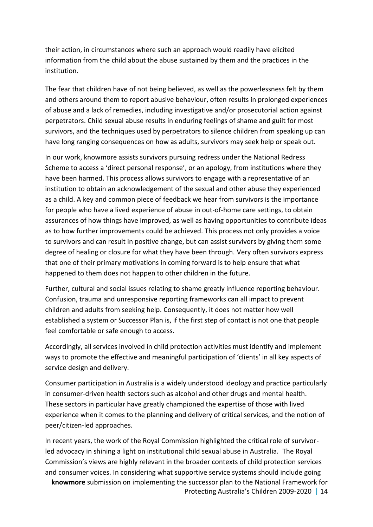their action, in circumstances where such an approach would readily have elicited information from the child about the abuse sustained by them and the practices in the institution.

The fear that children have of not being believed, as well as the powerlessness felt by them and others around them to report abusive behaviour, often results in prolonged experiences of abuse and a lack of remedies, including investigative and/or prosecutorial action against perpetrators. Child sexual abuse results in enduring feelings of shame and guilt for most survivors, and the techniques used by perpetrators to silence children from speaking up can have long ranging consequences on how as adults, survivors may seek help or speak out.

In our work, knowmore assists survivors pursuing redress under the National Redress Scheme to access a 'direct personal response', or an apology, from institutions where they have been harmed. This process allows survivors to engage with a representative of an institution to obtain an acknowledgement of the sexual and other abuse they experienced as a child. A key and common piece of feedback we hear from survivors is the importance for people who have a lived experience of abuse in out-of-home care settings, to obtain assurances of how things have improved, as well as having opportunities to contribute ideas as to how further improvements could be achieved. This process not only provides a voice to survivors and can result in positive change, but can assist survivors by giving them some degree of healing or closure for what they have been through. Very often survivors express that one of their primary motivations in coming forward is to help ensure that what happened to them does not happen to other children in the future.

Further, cultural and social issues relating to shame greatly influence reporting behaviour. Confusion, trauma and unresponsive reporting frameworks can all impact to prevent children and adults from seeking help. Consequently, it does not matter how well established a system or Successor Plan is, if the first step of contact is not one that people feel comfortable or safe enough to access.

Accordingly, all services involved in child protection activities must identify and implement ways to promote the effective and meaningful participation of 'clients' in all key aspects of service design and delivery.

Consumer participation in Australia is a widely understood ideology and practice particularly in consumer-driven health sectors such as alcohol and other drugs and mental health. These sectors in particular have greatly championed the expertise of those with lived experience when it comes to the planning and delivery of critical services, and the notion of peer/citizen-led approaches.

**knowmore** submission on implementing the successor plan to the National Framework for Protecting Australia's Children 2009-2020 **|** 14 In recent years, the work of the Royal Commission highlighted the critical role of survivorled advocacy in shining a light on institutional child sexual abuse in Australia. The Royal Commission's views are highly relevant in the broader contexts of child protection services and consumer voices. In considering what supportive service systems should include going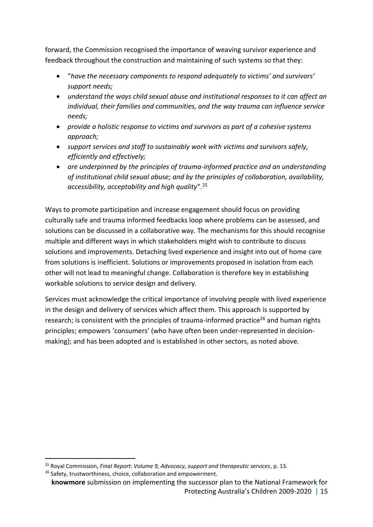forward, the Commission recognised the importance of weaving survivor experience and feedback throughout the construction and maintaining of such systems so that they:

- "*have the necessary components to respond adequately to victims' and survivors' support needs;*
- *understand the ways child sexual abuse and institutional responses to it can affect an individual, their families and communities, and the way trauma can influence service needs;*
- *provide a holistic response to victims and survivors as part of a cohesive systems approach;*
- *support services and staff to sustainably work with victims and survivors safely, efficiently and effectively;*
- *are underpinned by the principles of trauma-informed practice and an understanding of institutional child sexual abuse; and by the principles of collaboration, availability, accessibility, acceptability and high quality*". 25

Ways to promote participation and increase engagement should focus on providing culturally safe and trauma informed feedbacks loop where problems can be assessed, and solutions can be discussed in a collaborative way. The mechanisms for this should recognise multiple and different ways in which stakeholders might wish to contribute to discuss solutions and improvements. Detaching lived experience and insight into out of home care from solutions is inefficient. Solutions or improvements proposed in isolation from each other will not lead to meaningful change. Collaboration is therefore key in establishing workable solutions to service design and delivery.

Services must acknowledge the critical importance of involving people with lived experience in the design and delivery of services which affect them. This approach is supported by research; is consistent with the principles of trauma-informed practice<sup>26</sup> and human rights principles; empowers 'consumers' (who have often been under-represented in decisionmaking); and has been adopted and is established in other sectors, as noted above.

<sup>-</sup><sup>25</sup> Royal Commission, *Final Report: Volume 9, Advocacy, support and therapeutic services*, p. 13.

<sup>&</sup>lt;sup>26</sup> Safety, trustworthiness, choice, collaboration and empowerment.

**knowmore** submission on implementing the successor plan to the National Framework for Protecting Australia's Children 2009-2020 **|** 15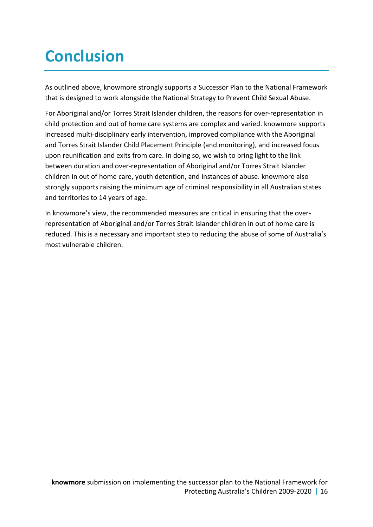# <span id="page-15-0"></span>**Conclusion**

As outlined above, knowmore strongly supports a Successor Plan to the National Framework that is designed to work alongside the National Strategy to Prevent Child Sexual Abuse.

For Aboriginal and/or Torres Strait Islander children, the reasons for over-representation in child protection and out of home care systems are complex and varied. knowmore supports increased multi-disciplinary early intervention, improved compliance with the Aboriginal and Torres Strait Islander Child Placement Principle (and monitoring), and increased focus upon reunification and exits from care. In doing so, we wish to bring light to the link between duration and over-representation of Aboriginal and/or Torres Strait Islander children in out of home care, youth detention, and instances of abuse. knowmore also strongly supports raising the minimum age of criminal responsibility in all Australian states and territories to 14 years of age.

In knowmore's view, the recommended measures are critical in ensuring that the overrepresentation of Aboriginal and/or Torres Strait Islander children in out of home care is reduced. This is a necessary and important step to reducing the abuse of some of Australia's most vulnerable children.